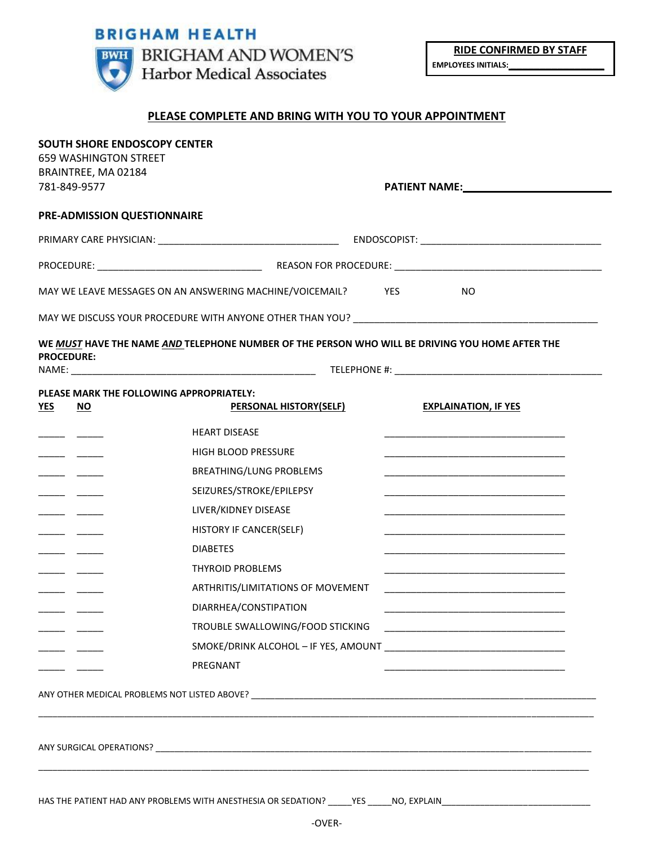# **BRIGHAM HEALTH**



**RIDE CONFIRMED BY STAFF EMPLOYEES INITIALS: \_\_\_\_\_\_\_\_\_\_\_\_\_\_\_\_**

## **PLEASE COMPLETE AND BRING WITH YOU TO YOUR APPOINTMENT**

| MAY WE LEAVE MESSAGES ON AN ANSWERING MACHINE/VOICEMAIL? YES<br>NO.                                                                                                                                                            |
|--------------------------------------------------------------------------------------------------------------------------------------------------------------------------------------------------------------------------------|
|                                                                                                                                                                                                                                |
| WE MUST HAVE THE NAME AND TELEPHONE NUMBER OF THE PERSON WHO WILL BE DRIVING YOU HOME AFTER THE                                                                                                                                |
|                                                                                                                                                                                                                                |
|                                                                                                                                                                                                                                |
| <b>PERSONAL HISTORY(SELF)</b><br><b>EXPLAINATION, IF YES</b>                                                                                                                                                                   |
| <u> 1989 - Johann John Stone, markin film yn y brenin y brenin y brenin y brenin y brenin y brenin y brenin y br</u>                                                                                                           |
|                                                                                                                                                                                                                                |
|                                                                                                                                                                                                                                |
|                                                                                                                                                                                                                                |
| the control of the control of the control of the control of the control of the control of                                                                                                                                      |
| <u> 1989 - Johann Stoff, deutscher Stoff, der Stoff, der Stoff, der Stoff, der Stoff, der Stoff, der Stoff, der S</u>                                                                                                          |
|                                                                                                                                                                                                                                |
|                                                                                                                                                                                                                                |
| ARTHRITIS/LIMITATIONS OF MOVEMENT                                                                                                                                                                                              |
|                                                                                                                                                                                                                                |
| TROUBLE SWALLOWING/FOOD STICKING THE CONTROL CONTROL CONTROL CONTROL CONTROL CONTROL CONTROL CONTROL CONTROL CONTROL CONTROL CONTROL CONTROL CONTROL CONTROL CONTROL CONTROL CONTROL CONTROL CONTROL CONTROL CONTROL CONTROL C |
|                                                                                                                                                                                                                                |
|                                                                                                                                                                                                                                |
|                                                                                                                                                                                                                                |
|                                                                                                                                                                                                                                |
|                                                                                                                                                                                                                                |
|                                                                                                                                                                                                                                |
|                                                                                                                                                                                                                                |
| HAS THE PATIENT HAD ANY PROBLEMS WITH ANESTHESIA OR SEDATION?<br><b>YES</b><br>NO, EXPLAIN                                                                                                                                     |
|                                                                                                                                                                                                                                |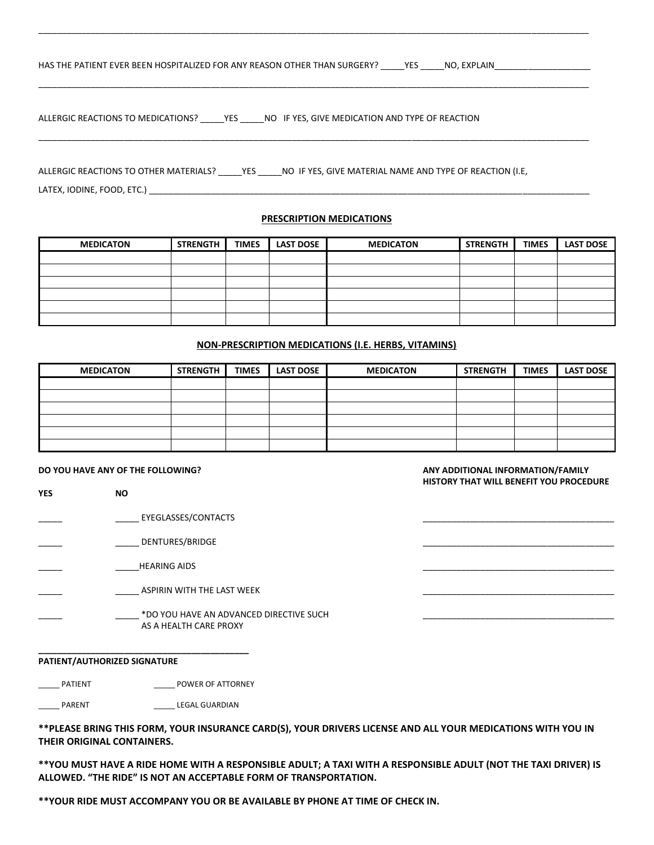| HAS THE PATIENT EVER BEEN HOSPITALIZED FOR ANY REASON OTHER THAN SURGERY? | <b>YES</b> | NO. EXPLAIN |  |
|---------------------------------------------------------------------------|------------|-------------|--|
|                                                                           |            |             |  |

\_\_\_\_\_\_\_\_\_\_\_\_\_\_\_\_\_\_\_\_\_\_\_\_\_\_\_\_\_\_\_\_\_\_\_\_\_\_\_\_\_\_\_\_\_\_\_\_\_\_\_\_\_\_\_\_\_\_\_\_\_\_\_\_\_\_\_\_\_\_\_\_\_\_\_\_\_\_\_\_\_\_\_\_\_\_\_\_\_\_\_\_\_\_\_\_\_\_\_\_\_\_\_\_\_\_\_\_\_\_\_\_\_\_\_

\_\_\_\_\_\_\_\_\_\_\_\_\_\_\_\_\_\_\_\_\_\_\_\_\_\_\_\_\_\_\_\_\_\_\_\_\_\_\_\_\_\_\_\_\_\_\_\_\_\_\_\_\_\_\_\_\_\_\_\_\_\_\_\_\_\_\_\_\_\_\_\_\_\_\_\_\_\_\_\_\_\_\_\_\_\_\_\_\_\_\_\_\_\_\_\_\_\_\_\_\_\_\_\_\_\_\_\_\_\_\_\_\_\_\_

\_\_\_\_\_\_\_\_\_\_\_\_\_\_\_\_\_\_\_\_\_\_\_\_\_\_\_\_\_\_\_\_\_\_\_\_\_\_\_\_\_\_\_\_\_\_\_\_\_\_\_\_\_\_\_\_\_\_\_\_\_\_\_\_\_\_\_\_\_\_\_\_\_\_\_\_\_\_\_\_\_\_\_\_\_\_\_\_\_\_\_\_\_\_\_\_\_\_\_\_\_\_\_\_\_\_\_\_\_\_\_\_\_\_\_

ALLERGIC REACTIONS TO MEDICATIONS? \_\_\_\_\_YES \_\_\_\_\_NO IF YES, GIVE MEDICATION AND TYPE OF REACTION

ALLERGIC REACTIONS TO OTHER MATERIALS? \_\_\_\_\_\_YES \_\_\_\_\_\_NO IF YES, GIVE MATERIAL NAME AND TYPE OF REACTION (I.E, LATEX, IODINE, FOOD, ETC.) \_\_\_

### **PRESCRIPTION MEDICATIONS**

| <b>MEDICATON</b> | <b>STRENGTH</b> | <b>TIMES</b> | <b>LAST DOSE</b> | <b>MEDICATON</b> | <b>STRENGTH</b> | <b>TIMES</b> | <b>LAST DOSE</b> |
|------------------|-----------------|--------------|------------------|------------------|-----------------|--------------|------------------|
|                  |                 |              |                  |                  |                 |              |                  |
|                  |                 |              |                  |                  |                 |              |                  |
|                  |                 |              |                  |                  |                 |              |                  |
|                  |                 |              |                  |                  |                 |              |                  |
|                  |                 |              |                  |                  |                 |              |                  |
|                  |                 |              |                  |                  |                 |              |                  |

### **NON-PRESCRIPTION MEDICATIONS (I.E. HERBS, VITAMINS)**

| <b>MEDICATON</b> | <b>STRENGTH</b> | <b>TIMES</b> | <b>LAST DOSE</b> | <b>MEDICATON</b> | <b>STRENGTH</b> | <b>TIMES</b> | <b>LAST DOSE</b> |
|------------------|-----------------|--------------|------------------|------------------|-----------------|--------------|------------------|
|                  |                 |              |                  |                  |                 |              |                  |
|                  |                 |              |                  |                  |                 |              |                  |
|                  |                 |              |                  |                  |                 |              |                  |
|                  |                 |              |                  |                  |                 |              |                  |
|                  |                 |              |                  |                  |                 |              |                  |
|                  |                 |              |                  |                  |                 |              |                  |

**DO YOU HAVE ANY OF THE FOLLOWING? ANY ADDITIONAL INFORMATION/FAMILY HISTORY THAT WILL BENEFIT YOU PROCEDURE** 

**YES NO**  $\overline{\phantom{a}}$  EYEGLASSES/CONTACTS \_\_\_\_\_ \_\_\_\_\_ DENTURES/BRIDGE \_\_\_\_\_\_\_\_\_\_\_\_\_\_\_\_\_\_\_\_\_\_\_\_\_\_\_\_\_\_\_\_\_\_\_\_\_\_\_\_ \_\_\_\_\_ \_\_\_\_\_HEARING AIDS \_\_\_\_\_\_\_\_\_\_\_\_\_\_\_\_\_\_\_\_\_\_\_\_\_\_\_\_\_\_\_\_\_\_\_\_\_\_\_\_ ASPIRIN WITH THE LAST WEEK  $\_$  \*DO YOU HAVE AN ADVANCED DIRECTIVE SUCH AS A HEALTH CARE PROXY

#### **PATIENT/AUTHORIZED SIGNATURE**

\_\_ PATIENT \_\_\_\_\_\_\_\_\_\_\_\_\_\_\_\_\_ POWER OF ATTORNEY

**\_\_\_\_\_\_\_\_\_\_\_\_\_\_\_\_\_\_\_\_\_\_\_\_\_\_\_\_\_\_\_\_\_\_\_\_\_\_\_\_\_\_\_\_**

\_\_\_\_\_ PARENT \_\_\_\_\_ LEGAL GUARDIAN

**\*\*PLEASE BRING THIS FORM, YOUR INSURANCE CARD(S), YOUR DRIVERS LICENSE AND ALL YOUR MEDICATIONS WITH YOU IN THEIR ORIGINAL CONTAINERS.**

**\*\*YOU MUST HAVE A RIDE HOME WITH A RESPONSIBLE ADULT; A TAXI WITH A RESPONSIBLE ADULT (NOT THE TAXI DRIVER) IS ALLOWED. "THE RIDE" IS NOT AN ACCEPTABLE FORM OF TRANSPORTATION.**

**\*\*YOUR RIDE MUST ACCOMPANY YOU OR BE AVAILABLE BY PHONE AT TIME OF CHECK IN.**